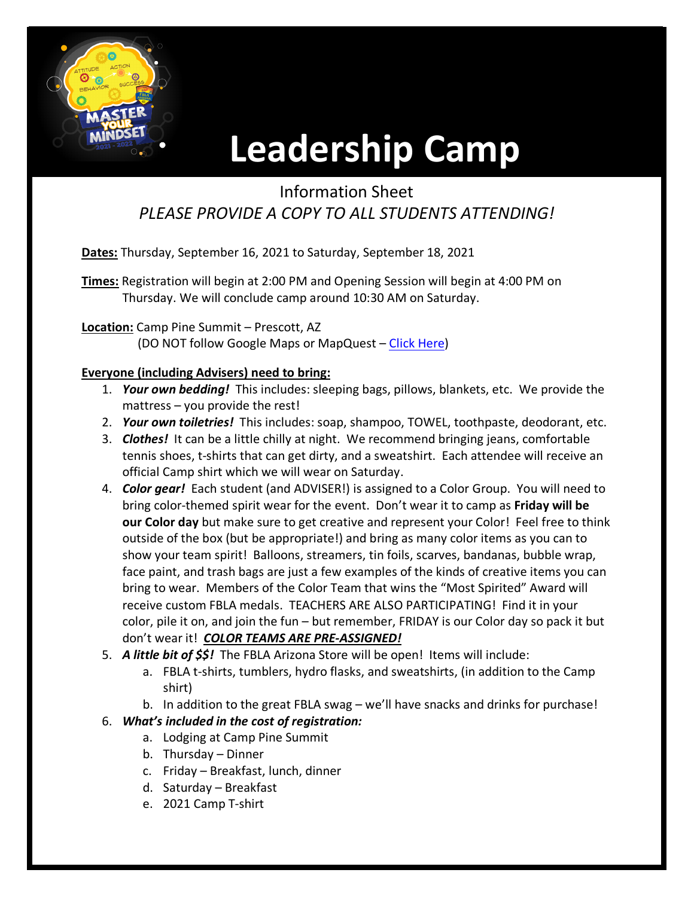

# **Leadership Camp**

## Information Sheet *PLEASE PROVIDE A COPY TO ALL STUDENTS ATTENDING!*

**Dates:** Thursday, September 16, 2021 to Saturday, September 18, 2021

**Times:** Registration will begin at 2:00 PM and Opening Session will begin at 4:00 PM on Thursday. We will conclude camp around 10:30 AM on Saturday.

#### **Location:** Camp Pine Summit – Prescott, AZ

(DO NOT follow Google Maps or MapQuest – [Click Here\)](http://www.pinesummitcamp.com/)

#### **Everyone (including Advisers) need to bring:**

- 1. *Your own bedding!* This includes: sleeping bags, pillows, blankets, etc. We provide the mattress – you provide the rest!
- 2. *Your own toiletries!* This includes: soap, shampoo, TOWEL, toothpaste, deodorant, etc.
- 3. *Clothes!* It can be a little chilly at night. We recommend bringing jeans, comfortable tennis shoes, t-shirts that can get dirty, and a sweatshirt. Each attendee will receive an official Camp shirt which we will wear on Saturday.
- 4. *Color gear!* Each student (and ADVISER!) is assigned to a Color Group. You will need to bring color-themed spirit wear for the event. Don't wear it to camp as **Friday will be our Color day** but make sure to get creative and represent your Color! Feel free to think outside of the box (but be appropriate!) and bring as many color items as you can to show your team spirit! Balloons, streamers, tin foils, scarves, bandanas, bubble wrap, face paint, and trash bags are just a few examples of the kinds of creative items you can bring to wear. Members of the Color Team that wins the "Most Spirited" Award will receive custom FBLA medals. TEACHERS ARE ALSO PARTICIPATING! Find it in your color, pile it on, and join the fun – but remember, FRIDAY is our Color day so pack it but don't wear it! *COLOR TEAMS ARE PRE-ASSIGNED!*
- 5. *A little bit of \$\$!* The FBLA Arizona Store will be open! Items will include:
	- a. FBLA t-shirts, tumblers, hydro flasks, and sweatshirts, (in addition to the Camp shirt)
	- b. In addition to the great FBLA swag we'll have snacks and drinks for purchase!

### 6. *What's included in the cost of registration:*

- a. Lodging at Camp Pine Summit
- b. Thursday Dinner
- c. Friday Breakfast, lunch, dinner
- d. Saturday Breakfast
- e. 2021 Camp T-shirt